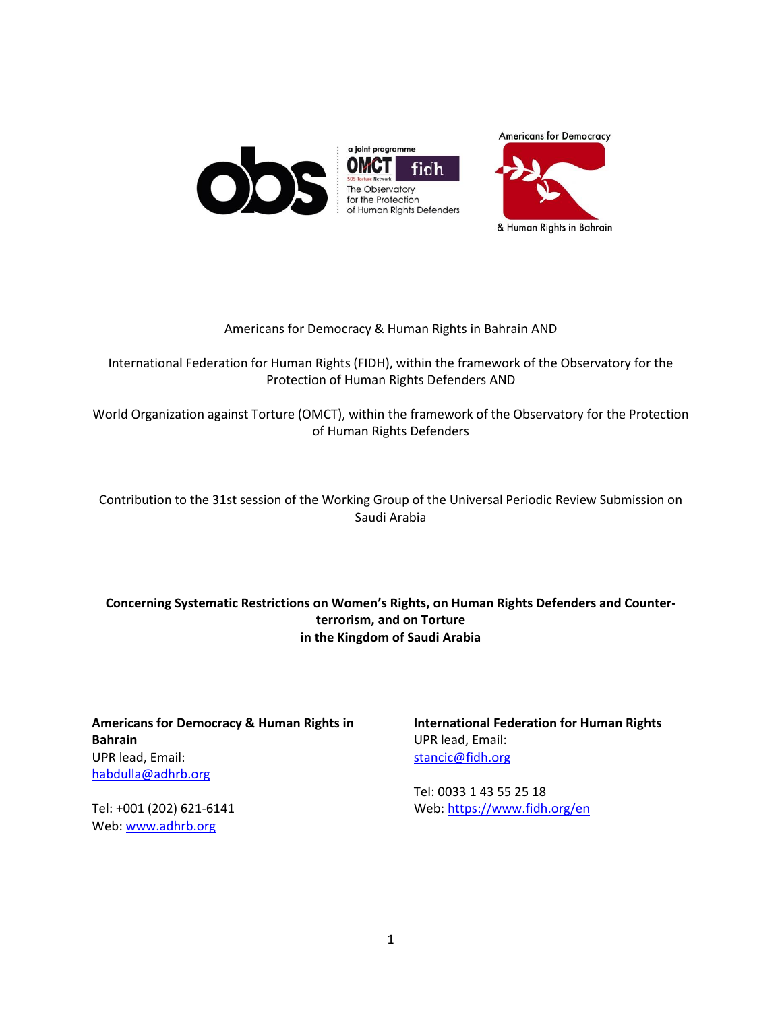





## Americans for Democracy & Human Rights in Bahrain AND

International Federation for Human Rights (FIDH), within the framework of the Observatory for the Protection of Human Rights Defenders AND

World Organization against Torture (OMCT), within the framework of the Observatory for the Protection of Human Rights Defenders

# Contribution to the 31st session of the Working Group of the Universal Periodic Review Submission on Saudi Arabia

# **Concerning Systematic Restrictions on Women's Rights, on Human Rights Defenders and Counterterrorism, and on Torture in the Kingdom of Saudi Arabia**

**Americans for Democracy & Human Rights in Bahrain** UPR lead, Email: [habdulla@adhrb.org](mailto:habdulla@adhrb.org)

Tel: +001 (202) 621-6141 Web[: www.adhrb.org](http://www.adhrb.org/)

**International Federation for Human Rights** UPR lead, Email: [stancic@fidh.org](mailto:stancic@fidh.org)

Tel: 0033 1 43 55 25 18 Web[: https://www.fidh.org/en](https://www.fidh.org/en)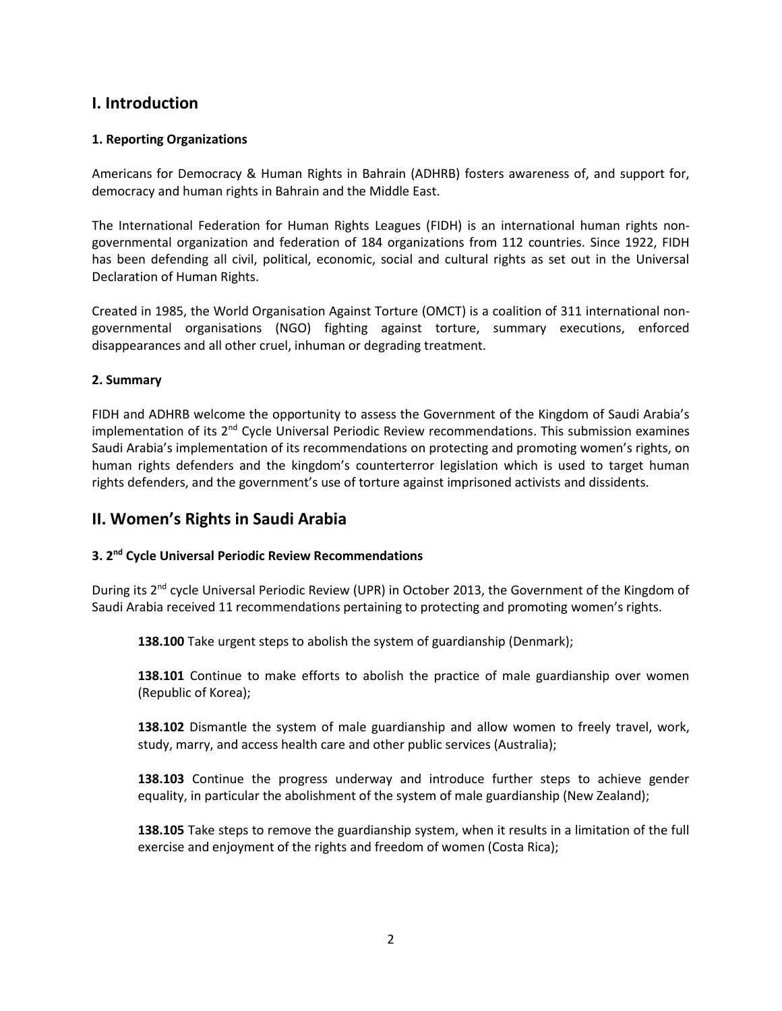# **I. Introduction**

## **1. Reporting Organizations**

Americans for Democracy & Human Rights in Bahrain (ADHRB) fosters awareness of, and support for, democracy and human rights in Bahrain and the Middle East.

The International Federation for Human Rights Leagues (FIDH) is an international human rights nongovernmental organization and federation of 184 organizations from 112 countries. Since 1922, FIDH has been defending all civil, political, economic, social and cultural rights as set out in the Universal Declaration of Human Rights.

Created in 1985, the World Organisation Against Torture (OMCT) is a coalition of 311 international nongovernmental organisations (NGO) fighting against torture, summary executions, enforced disappearances and all other cruel, inhuman or degrading treatment.

### **2. Summary**

FIDH and ADHRB welcome the opportunity to assess the Government of the Kingdom of Saudi Arabia's implementation of its  $2<sup>nd</sup>$  Cycle Universal Periodic Review recommendations. This submission examines Saudi Arabia's implementation of its recommendations on protecting and promoting women's rights, on human rights defenders and the kingdom's counterterror legislation which is used to target human rights defenders, and the government's use of torture against imprisoned activists and dissidents.

# **II. Women's Rights in Saudi Arabia**

# **3. 2 nd Cycle Universal Periodic Review Recommendations**

During its 2<sup>nd</sup> cycle Universal Periodic Review (UPR) in October 2013, the Government of the Kingdom of Saudi Arabia received 11 recommendations pertaining to protecting and promoting women's rights.

**138.100** Take urgent steps to abolish the system of guardianship (Denmark);

**138.101** Continue to make efforts to abolish the practice of male guardianship over women (Republic of Korea);

**138.102** Dismantle the system of male guardianship and allow women to freely travel, work, study, marry, and access health care and other public services (Australia);

**138.103** Continue the progress underway and introduce further steps to achieve gender equality, in particular the abolishment of the system of male guardianship (New Zealand);

**138.105** Take steps to remove the guardianship system, when it results in a limitation of the full exercise and enjoyment of the rights and freedom of women (Costa Rica);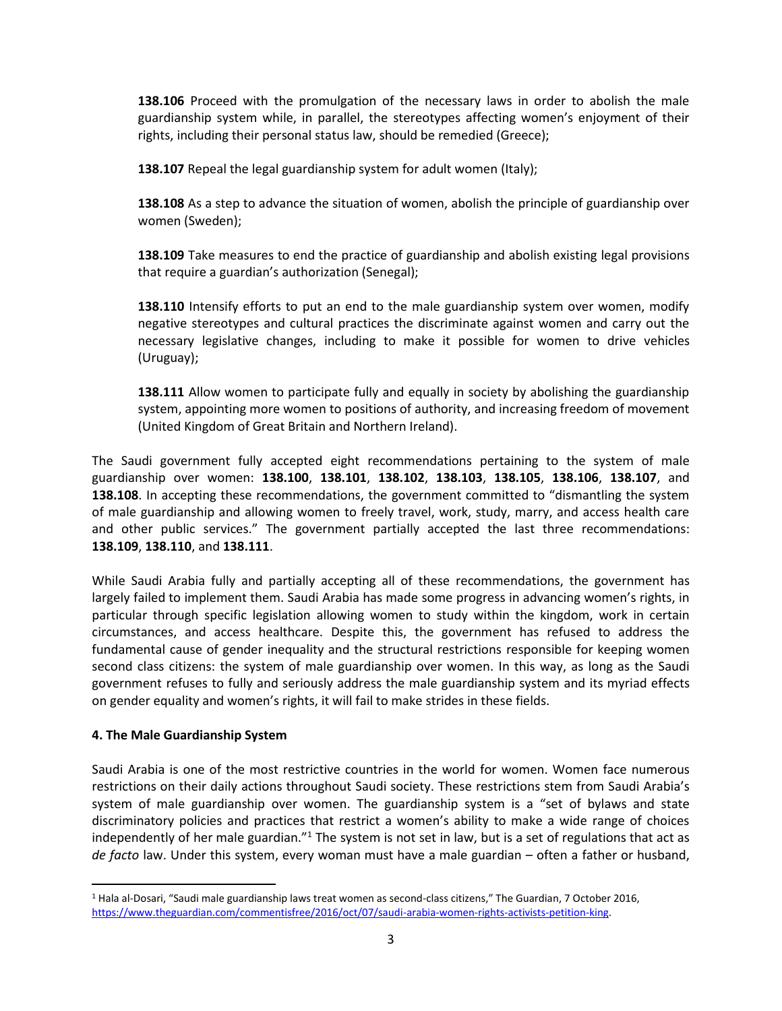**138.106** Proceed with the promulgation of the necessary laws in order to abolish the male guardianship system while, in parallel, the stereotypes affecting women's enjoyment of their rights, including their personal status law, should be remedied (Greece);

**138.107** Repeal the legal guardianship system for adult women (Italy);

**138.108** As a step to advance the situation of women, abolish the principle of guardianship over women (Sweden);

**138.109** Take measures to end the practice of guardianship and abolish existing legal provisions that require a guardian's authorization (Senegal);

**138.110** Intensify efforts to put an end to the male guardianship system over women, modify negative stereotypes and cultural practices the discriminate against women and carry out the necessary legislative changes, including to make it possible for women to drive vehicles (Uruguay);

**138.111** Allow women to participate fully and equally in society by abolishing the guardianship system, appointing more women to positions of authority, and increasing freedom of movement (United Kingdom of Great Britain and Northern Ireland).

The Saudi government fully accepted eight recommendations pertaining to the system of male guardianship over women: **138.100**, **138.101**, **138.102**, **138.103**, **138.105**, **138.106**, **138.107**, and **138.108**. In accepting these recommendations, the government committed to "dismantling the system of male guardianship and allowing women to freely travel, work, study, marry, and access health care and other public services." The government partially accepted the last three recommendations: **138.109**, **138.110**, and **138.111**.

While Saudi Arabia fully and partially accepting all of these recommendations, the government has largely failed to implement them. Saudi Arabia has made some progress in advancing women's rights, in particular through specific legislation allowing women to study within the kingdom, work in certain circumstances, and access healthcare. Despite this, the government has refused to address the fundamental cause of gender inequality and the structural restrictions responsible for keeping women second class citizens: the system of male guardianship over women. In this way, as long as the Saudi government refuses to fully and seriously address the male guardianship system and its myriad effects on gender equality and women's rights, it will fail to make strides in these fields.

### **4. The Male Guardianship System**

 $\overline{a}$ 

Saudi Arabia is one of the most restrictive countries in the world for women. Women face numerous restrictions on their daily actions throughout Saudi society. These restrictions stem from Saudi Arabia's system of male guardianship over women. The guardianship system is a "set of bylaws and state discriminatory policies and practices that restrict a women's ability to make a wide range of choices independently of her male guardian." $1$  The system is not set in law, but is a set of regulations that act as *de facto* law. Under this system, every woman must have a male guardian – often a father or husband,

<sup>1</sup> Hala al-Dosari, "Saudi male guardianship laws treat women as second-class citizens," The Guardian, 7 October 2016, [https://www.theguardian.com/commentisfree/2016/oct/07/saudi-arabia-women-rights-activists-petition-king.](https://www.theguardian.com/commentisfree/2016/oct/07/saudi-arabia-women-rights-activists-petition-king)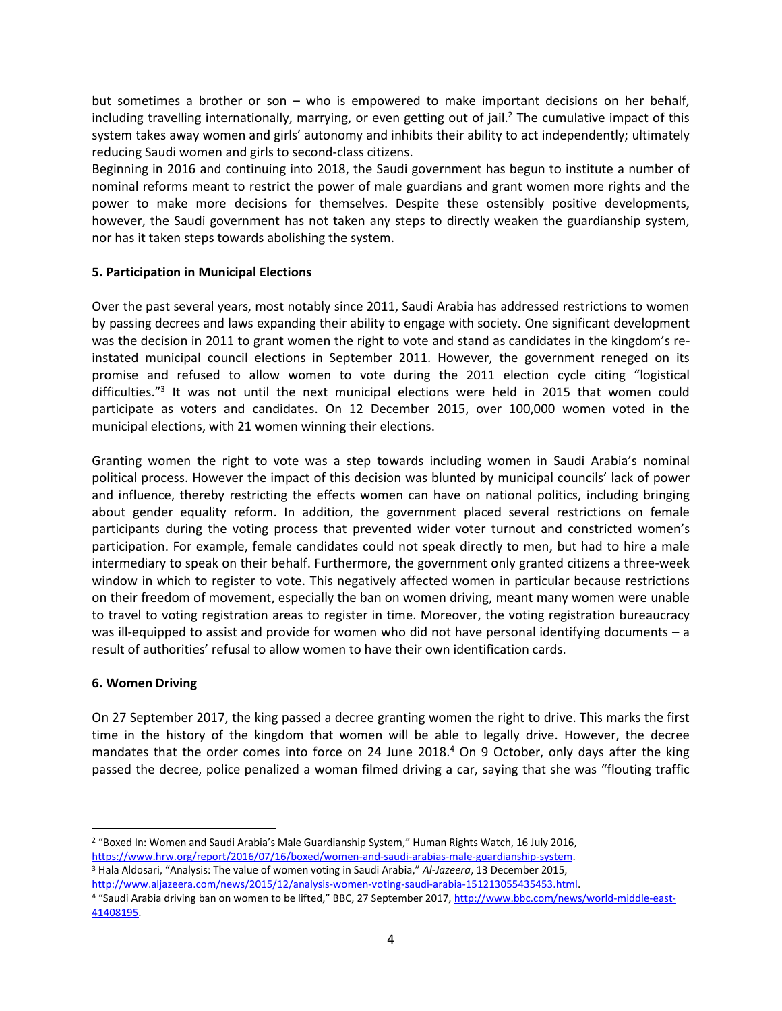but sometimes a brother or son – who is empowered to make important decisions on her behalf, including travelling internationally, marrying, or even getting out of jail.<sup>2</sup> The cumulative impact of this system takes away women and girls' autonomy and inhibits their ability to act independently; ultimately reducing Saudi women and girls to second-class citizens.

Beginning in 2016 and continuing into 2018, the Saudi government has begun to institute a number of nominal reforms meant to restrict the power of male guardians and grant women more rights and the power to make more decisions for themselves. Despite these ostensibly positive developments, however, the Saudi government has not taken any steps to directly weaken the guardianship system, nor has it taken steps towards abolishing the system.

### **5. Participation in Municipal Elections**

Over the past several years, most notably since 2011, Saudi Arabia has addressed restrictions to women by passing decrees and laws expanding their ability to engage with society. One significant development was the decision in 2011 to grant women the right to vote and stand as candidates in the kingdom's reinstated municipal council elections in September 2011. However, the government reneged on its promise and refused to allow women to vote during the 2011 election cycle citing "logistical difficulties."<sup>3</sup> It was not until the next municipal elections were held in 2015 that women could participate as voters and candidates. On 12 December 2015, over 100,000 women voted in the municipal elections, with 21 women winning their elections.

Granting women the right to vote was a step towards including women in Saudi Arabia's nominal political process. However the impact of this decision was blunted by municipal councils' lack of power and influence, thereby restricting the effects women can have on national politics, including bringing about gender equality reform. In addition, the government placed several restrictions on female participants during the voting process that prevented wider voter turnout and constricted women's participation. For example, female candidates could not speak directly to men, but had to hire a male intermediary to speak on their behalf. Furthermore, the government only granted citizens a three-week window in which to register to vote. This negatively affected women in particular because restrictions on their freedom of movement, especially the ban on women driving, meant many women were unable to travel to voting registration areas to register in time. Moreover, the voting registration bureaucracy was ill-equipped to assist and provide for women who did not have personal identifying documents – a result of authorities' refusal to allow women to have their own identification cards.

# **6. Women Driving**

 $\overline{\phantom{a}}$ 

On 27 September 2017, the king passed a decree granting women the right to drive. This marks the first time in the history of the kingdom that women will be able to legally drive. However, the decree mandates that the order comes into force on 24 June 2018.<sup>4</sup> On 9 October, only days after the king passed the decree, police penalized a woman filmed driving a car, saying that she was "flouting traffic

<sup>3</sup> Hala Aldosari, "Analysis: The value of women voting in Saudi Arabia," *Al-Jazeera*, 13 December 2015, http://www.aljazeera.com/news/2015/12/analysis-women-voting-saudi-arabia-151213055435453.html.

<sup>&</sup>lt;sup>2</sup> "Boxed In: Women and Saudi Arabia's Male Guardianship System," Human Rights Watch, 16 July 2016, [https://www.hrw.org/report/2016/07/16/boxed/women-and-saudi-arabias-male-guardianship-system.](https://www.hrw.org/report/2016/07/16/boxed/women-and-saudi-arabias-male-guardianship-system) 

<sup>4 &</sup>quot;Saudi Arabia driving ban on women to be lifted," BBC, 27 September 2017, [http://www.bbc.com/news/world-middle-east-](http://www.bbc.com/news/world-middle-east-41408195)[41408195.](http://www.bbc.com/news/world-middle-east-41408195)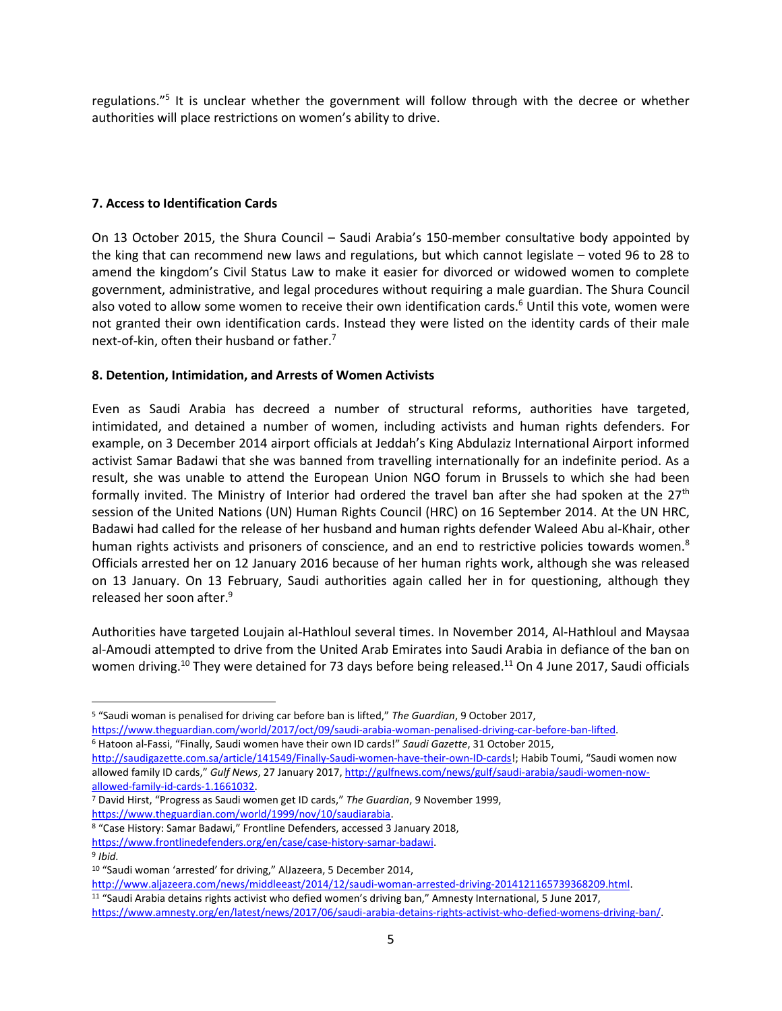regulations."<sup>5</sup> It is unclear whether the government will follow through with the decree or whether authorities will place restrictions on women's ability to drive.

## **7. Access to Identification Cards**

On 13 October 2015, the Shura Council – Saudi Arabia's 150-member consultative body appointed by the king that can recommend new laws and regulations, but which cannot legislate – voted 96 to 28 to amend the kingdom's Civil Status Law to make it easier for divorced or widowed women to complete government, administrative, and legal procedures without requiring a male guardian. The Shura Council also voted to allow some women to receive their own identification cards.<sup>6</sup> Until this vote, women were not granted their own identification cards. Instead they were listed on the identity cards of their male next-of-kin, often their husband or father.<sup>7</sup>

## **8. Detention, Intimidation, and Arrests of Women Activists**

Even as Saudi Arabia has decreed a number of structural reforms, authorities have targeted, intimidated, and detained a number of women, including activists and human rights defenders. For example, on 3 December 2014 airport officials at Jeddah's King Abdulaziz International Airport informed activist Samar Badawi that she was banned from travelling internationally for an indefinite period. As a result, she was unable to attend the European Union NGO forum in Brussels to which she had been formally invited. The Ministry of Interior had ordered the travel ban after she had spoken at the  $27<sup>th</sup>$ session of the United Nations (UN) Human Rights Council (HRC) on 16 September 2014. At the UN HRC, Badawi had called for the release of her husband and human rights defender Waleed Abu al-Khair, other human rights activists and prisoners of conscience, and an end to restrictive policies towards women.<sup>8</sup> Officials arrested her on 12 January 2016 because of her human rights work, although she was released on 13 January. On 13 February, Saudi authorities again called her in for questioning, although they released her soon after.<sup>9</sup>

Authorities have targeted Loujain al-Hathloul several times. In November 2014, Al-Hathloul and Maysaa al-Amoudi attempted to drive from the United Arab Emirates into Saudi Arabia in defiance of the ban on women driving.<sup>10</sup> They were detained for 73 days before being released.<sup>11</sup> On 4 June 2017, Saudi officials

l

<sup>5</sup> "Saudi woman is penalised for driving car before ban is lifted," *The Guardian*, 9 October 2017, [https://www.theguardian.com/world/2017/oct/09/saudi-arabia-woman-penalised-driving-car-before-ban-lifted.](https://www.theguardian.com/world/2017/oct/09/saudi-arabia-woman-penalised-driving-car-before-ban-lifted)

<sup>6</sup> Hatoon al-Fassi, "Finally, Saudi women have their own ID cards!" *Saudi Gazette*, 31 October 2015,

<http://saudigazette.com.sa/article/141549/Finally-Saudi-women-have-their-own-ID-cards>!; Habib Toumi, "Saudi women now allowed family ID cards," *Gulf News*, 27 January 2017[, http://gulfnews.com/news/gulf/saudi-arabia/saudi-women-now](http://gulfnews.com/news/gulf/saudi-arabia/saudi-women-now-allowed-family-id-cards-1.1661032)[allowed-family-id-cards-1.1661032.](http://gulfnews.com/news/gulf/saudi-arabia/saudi-women-now-allowed-family-id-cards-1.1661032) 

<sup>7</sup> David Hirst, "Progress as Saudi women get ID cards," *The Guardian*, 9 November 1999, [https://www.theguardian.com/world/1999/nov/10/saudiarabia.](https://www.theguardian.com/world/1999/nov/10/saudiarabia)

<sup>8</sup> "Case History: Samar Badawi," Frontline Defenders, accessed 3 January 2018,

[https://www.frontlinedefenders.org/en/case/case-history-samar-badawi.](https://www.frontlinedefenders.org/en/case/case-history-samar-badawi) 

<sup>9</sup> *Ibid.*

<sup>10</sup> "Saudi woman 'arrested' for driving," AlJazeera, 5 December 2014,

[http://www.aljazeera.com/news/middleeast/2014/12/saudi-woman-arrested-driving-2014121165739368209.html.](http://www.aljazeera.com/news/middleeast/2014/12/saudi-woman-arrested-driving-2014121165739368209.html)  <sup>11</sup> "Saudi Arabia detains rights activist who defied women's driving ban," Amnesty International, 5 June 2017, [https://www.amnesty.org/en/latest/news/2017/06/saudi-arabia-detains-rights-activist-who-defied-womens-driving-ban/.](https://www.amnesty.org/en/latest/news/2017/06/saudi-arabia-detains-rights-activist-who-defied-womens-driving-ban/)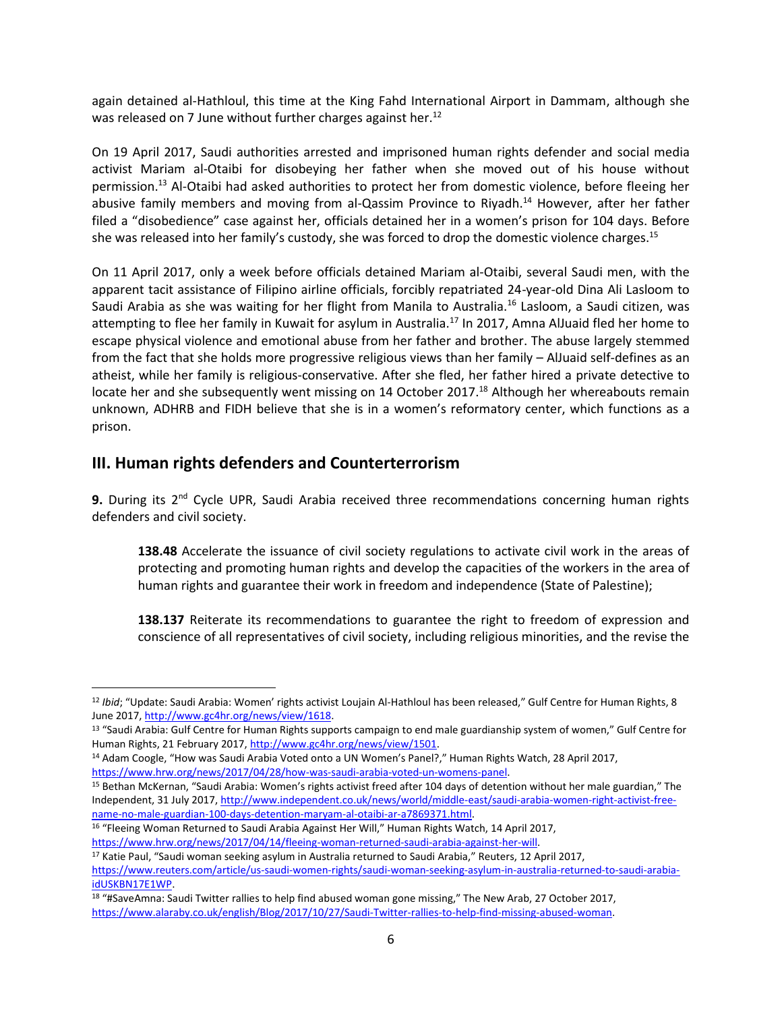again detained al-Hathloul, this time at the King Fahd International Airport in Dammam, although she was released on 7 June without further charges against her.<sup>12</sup>

On 19 April 2017, Saudi authorities arrested and imprisoned human rights defender and social media activist Mariam al-Otaibi for disobeying her father when she moved out of his house without permission.<sup>13</sup> Al-Otaibi had asked authorities to protect her from domestic violence, before fleeing her abusive family members and moving from al-Qassim Province to Riyadh.<sup>14</sup> However, after her father filed a "disobedience" case against her, officials detained her in a women's prison for 104 days. Before she was released into her family's custody, she was forced to drop the domestic violence charges.<sup>15</sup>

On 11 April 2017, only a week before officials detained Mariam al-Otaibi, several Saudi men, with the apparent tacit assistance of Filipino airline officials, forcibly repatriated 24-year-old Dina Ali Lasloom to Saudi Arabia as she was waiting for her flight from Manila to Australia.<sup>16</sup> Lasloom, a Saudi citizen, was attempting to flee her family in Kuwait for asylum in Australia.<sup>17</sup> In 2017, Amna AlJuaid fled her home to escape physical violence and emotional abuse from her father and brother. The abuse largely stemmed from the fact that she holds more progressive religious views than her family – AlJuaid self-defines as an atheist, while her family is religious-conservative. After she fled, her father hired a private detective to locate her and she subsequently went missing on 14 October 2017.<sup>18</sup> Although her whereabouts remain unknown, ADHRB and FIDH believe that she is in a women's reformatory center, which functions as a prison.

# **III. Human rights defenders and Counterterrorism**

 $\overline{\phantom{a}}$ 

9. During its 2<sup>nd</sup> Cycle UPR, Saudi Arabia received three recommendations concerning human rights defenders and civil society.

**138.48** Accelerate the issuance of civil society regulations to activate civil work in the areas of protecting and promoting human rights and develop the capacities of the workers in the area of human rights and guarantee their work in freedom and independence (State of Palestine);

**138.137** Reiterate its recommendations to guarantee the right to freedom of expression and conscience of all representatives of civil society, including religious minorities, and the revise the

<sup>&</sup>lt;sup>12</sup> Ibid; "Update: Saudi Arabia: Women' rights activist Loujain Al-Hathloul has been released," Gulf Centre for Human Rights, 8 June 2017[, http://www.gc4hr.org/news/view/1618.](http://www.gc4hr.org/news/view/1618) 

<sup>13</sup> "Saudi Arabia: Gulf Centre for Human Rights supports campaign to end male guardianship system of women," Gulf Centre for Human Rights, 21 February 2017, [http://www.gc4hr.org/news/view/1501.](http://www.gc4hr.org/news/view/1501)

<sup>&</sup>lt;sup>14</sup> Adam Coogle, "How was Saudi Arabia Voted onto a UN Women's Panel?," Human Rights Watch, 28 April 2017, [https://www.hrw.org/news/2017/04/28/how-was-saudi-arabia-voted-un-womens-panel.](https://www.hrw.org/news/2017/04/28/how-was-saudi-arabia-voted-un-womens-panel)

<sup>15</sup> Bethan McKernan, "Saudi Arabia: Women's rights activist freed after 104 days of detention without her male guardian," The Independent, 31 July 2017, [http://www.independent.co.uk/news/world/middle-east/saudi-arabia-women-right-activist-free](http://www.independent.co.uk/news/world/middle-east/saudi-arabia-women-right-activist-free-name-no-male-guardian-100-days-detention-maryam-al-otaibi-ar-a7869371.html)[name-no-male-guardian-100-days-detention-maryam-al-otaibi-ar-a7869371.html.](http://www.independent.co.uk/news/world/middle-east/saudi-arabia-women-right-activist-free-name-no-male-guardian-100-days-detention-maryam-al-otaibi-ar-a7869371.html) 

<sup>&</sup>lt;sup>16</sup> "Fleeing Woman Returned to Saudi Arabia Against Her Will," Human Rights Watch, 14 April 2017,

[https://www.hrw.org/news/2017/04/14/fleeing-woman-returned-saudi-arabia-against-her-will.](https://www.hrw.org/news/2017/04/14/fleeing-woman-returned-saudi-arabia-against-her-will)

<sup>17</sup> Katie Paul, "Saudi woman seeking asylum in Australia returned to Saudi Arabia," Reuters, 12 April 2017,

[https://www.reuters.com/article/us-saudi-women-rights/saudi-woman-seeking-asylum-in-australia-returned-to-saudi-arabia](https://www.reuters.com/article/us-saudi-women-rights/saudi-woman-seeking-asylum-in-australia-returned-to-saudi-arabia-idUSKBN17E1WP)[idUSKBN17E1WP.](https://www.reuters.com/article/us-saudi-women-rights/saudi-woman-seeking-asylum-in-australia-returned-to-saudi-arabia-idUSKBN17E1WP)

<sup>18</sup> "#SaveAmna: Saudi Twitter rallies to help find abused woman gone missing," The New Arab, 27 October 2017, [https://www.alaraby.co.uk/english/Blog/2017/10/27/Saudi-Twitter-rallies-to-help-find-missing-abused-woman.](https://www.alaraby.co.uk/english/Blog/2017/10/27/Saudi-Twitter-rallies-to-help-find-missing-abused-woman)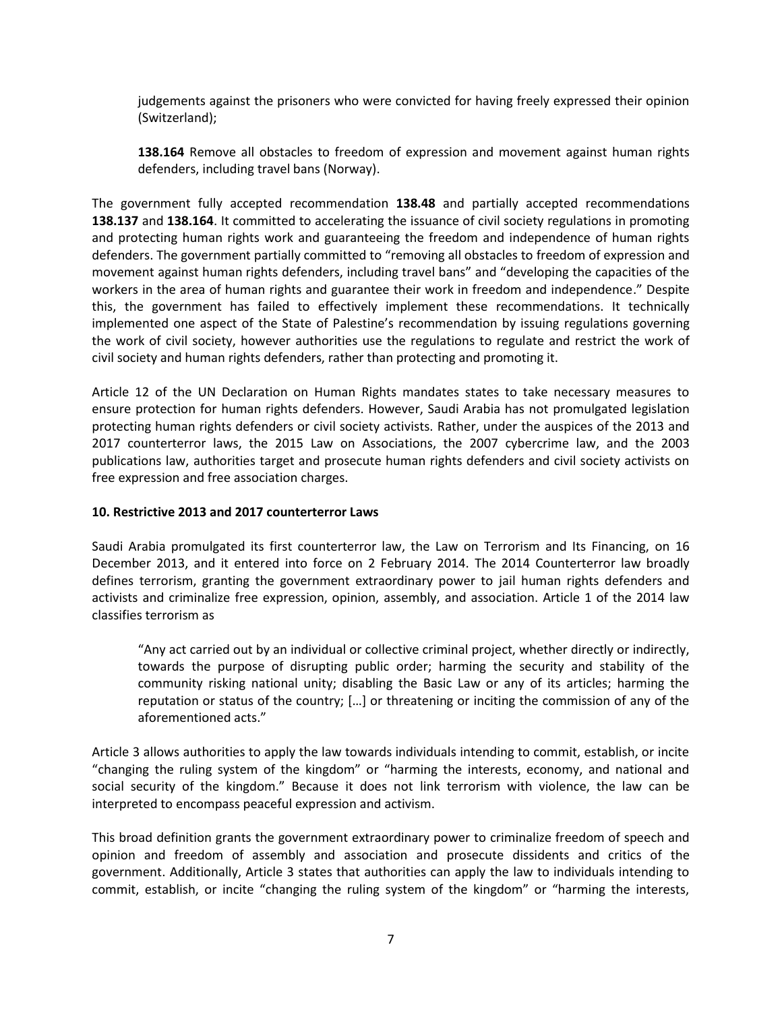judgements against the prisoners who were convicted for having freely expressed their opinion (Switzerland);

**138.164** Remove all obstacles to freedom of expression and movement against human rights defenders, including travel bans (Norway).

The government fully accepted recommendation **138.48** and partially accepted recommendations **138.137** and **138.164**. It committed to accelerating the issuance of civil society regulations in promoting and protecting human rights work and guaranteeing the freedom and independence of human rights defenders. The government partially committed to "removing all obstacles to freedom of expression and movement against human rights defenders, including travel bans" and "developing the capacities of the workers in the area of human rights and guarantee their work in freedom and independence." Despite this, the government has failed to effectively implement these recommendations. It technically implemented one aspect of the State of Palestine's recommendation by issuing regulations governing the work of civil society, however authorities use the regulations to regulate and restrict the work of civil society and human rights defenders, rather than protecting and promoting it.

Article 12 of the UN Declaration on Human Rights mandates states to take necessary measures to ensure protection for human rights defenders. However, Saudi Arabia has not promulgated legislation protecting human rights defenders or civil society activists. Rather, under the auspices of the 2013 and 2017 counterterror laws, the 2015 Law on Associations, the 2007 cybercrime law, and the 2003 publications law, authorities target and prosecute human rights defenders and civil society activists on free expression and free association charges.

#### **10. Restrictive 2013 and 2017 counterterror Laws**

Saudi Arabia promulgated its first counterterror law, the Law on Terrorism and Its Financing, on 16 December 2013, and it entered into force on 2 February 2014. The 2014 Counterterror law broadly defines terrorism, granting the government extraordinary power to jail human rights defenders and activists and criminalize free expression, opinion, assembly, and association. Article 1 of the 2014 law classifies terrorism as

"Any act carried out by an individual or collective criminal project, whether directly or indirectly, towards the purpose of disrupting public order; harming the security and stability of the community risking national unity; disabling the Basic Law or any of its articles; harming the reputation or status of the country; […] or threatening or inciting the commission of any of the aforementioned acts."

Article 3 allows authorities to apply the law towards individuals intending to commit, establish, or incite "changing the ruling system of the kingdom" or "harming the interests, economy, and national and social security of the kingdom." Because it does not link terrorism with violence, the law can be interpreted to encompass peaceful expression and activism.

This broad definition grants the government extraordinary power to criminalize freedom of speech and opinion and freedom of assembly and association and prosecute dissidents and critics of the government. Additionally, Article 3 states that authorities can apply the law to individuals intending to commit, establish, or incite "changing the ruling system of the kingdom" or "harming the interests,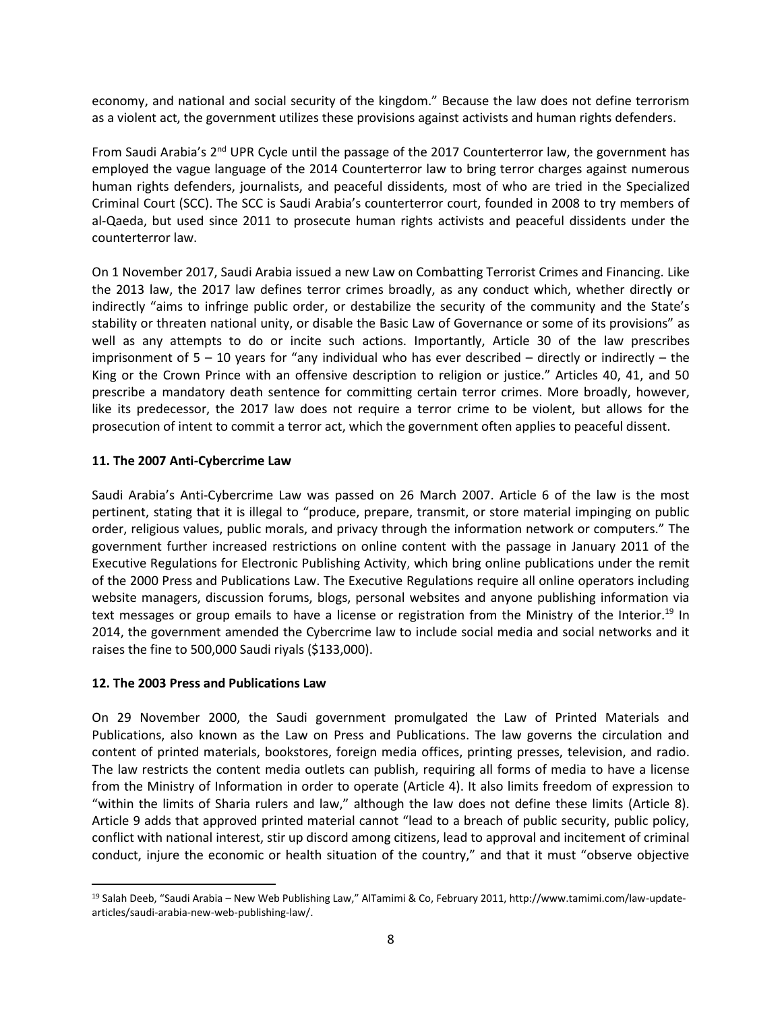economy, and national and social security of the kingdom." Because the law does not define terrorism as a violent act, the government utilizes these provisions against activists and human rights defenders.

From Saudi Arabia's 2<sup>nd</sup> UPR Cycle until the passage of the 2017 Counterterror law, the government has employed the vague language of the 2014 Counterterror law to bring terror charges against numerous human rights defenders, journalists, and peaceful dissidents, most of who are tried in the Specialized Criminal Court (SCC). The SCC is Saudi Arabia's counterterror court, founded in 2008 to try members of al-Qaeda, but used since 2011 to prosecute human rights activists and peaceful dissidents under the counterterror law.

On 1 November 2017, Saudi Arabia issued a new Law on Combatting Terrorist Crimes and Financing. Like the 2013 law, the 2017 law defines terror crimes broadly, as any conduct which, whether directly or indirectly "aims to infringe public order, or destabilize the security of the community and the State's stability or threaten national unity, or disable the Basic Law of Governance or some of its provisions" as well as any attempts to do or incite such actions. Importantly, Article 30 of the law prescribes imprisonment of 5 – 10 years for "any individual who has ever described – directly or indirectly – the King or the Crown Prince with an offensive description to religion or justice." Articles 40, 41, and 50 prescribe a mandatory death sentence for committing certain terror crimes. More broadly, however, like its predecessor, the 2017 law does not require a terror crime to be violent, but allows for the prosecution of intent to commit a terror act, which the government often applies to peaceful dissent.

## **11. The 2007 Anti-Cybercrime Law**

Saudi Arabia's Anti-Cybercrime Law was passed on 26 March 2007. Article 6 of the law is the most pertinent, stating that it is illegal to "produce, prepare, transmit, or store material impinging on public order, religious values, public morals, and privacy through the information network or computers." The government further increased restrictions on online content with the passage in January 2011 of the Executive Regulations for Electronic Publishing Activity, which bring online publications under the remit of the 2000 Press and Publications Law. The Executive Regulations require all online operators including website managers, discussion forums, blogs, personal websites and anyone publishing information via text messages or group emails to have a license or registration from the Ministry of the Interior.<sup>19</sup> In 2014, the government amended the Cybercrime law to include social media and social networks and it raises the fine to 500,000 Saudi riyals (\$133,000).

### **12. The 2003 Press and Publications Law**

 $\overline{a}$ 

On 29 November 2000, the Saudi government promulgated the Law of Printed Materials and Publications, also known as the Law on Press and Publications. The law governs the circulation and content of printed materials, bookstores, foreign media offices, printing presses, television, and radio. The law restricts the content media outlets can publish, requiring all forms of media to have a license from the Ministry of Information in order to operate (Article 4). It also limits freedom of expression to "within the limits of Sharia rulers and law," although the law does not define these limits (Article 8). Article 9 adds that approved printed material cannot "lead to a breach of public security, public policy, conflict with national interest, stir up discord among citizens, lead to approval and incitement of criminal conduct, injure the economic or health situation of the country," and that it must "observe objective

<sup>19</sup> Salah Deeb, "Saudi Arabia – New Web Publishing Law," AlTamimi & Co, February 2011, http://www.tamimi.com/law-updatearticles/saudi-arabia-new-web-publishing-law/.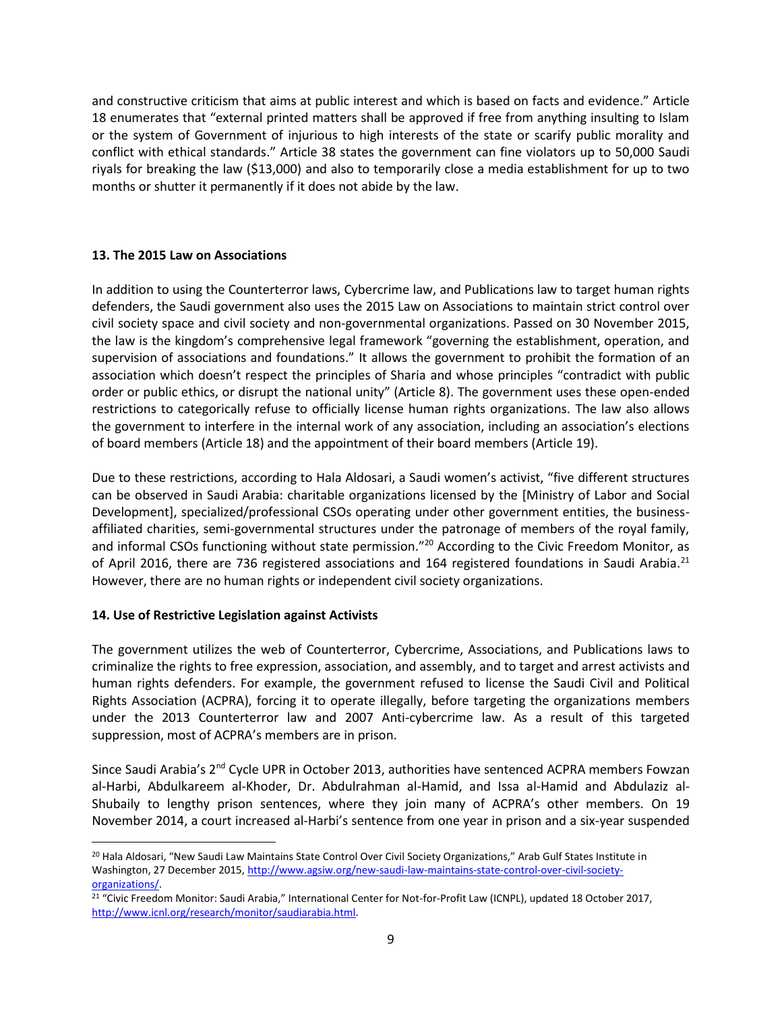and constructive criticism that aims at public interest and which is based on facts and evidence." Article 18 enumerates that "external printed matters shall be approved if free from anything insulting to Islam or the system of Government of injurious to high interests of the state or scarify public morality and conflict with ethical standards." Article 38 states the government can fine violators up to 50,000 Saudi riyals for breaking the law (\$13,000) and also to temporarily close a media establishment for up to two months or shutter it permanently if it does not abide by the law.

## **13. The 2015 Law on Associations**

In addition to using the Counterterror laws, Cybercrime law, and Publications law to target human rights defenders, the Saudi government also uses the 2015 Law on Associations to maintain strict control over civil society space and civil society and non-governmental organizations. Passed on 30 November 2015, the law is the kingdom's comprehensive legal framework "governing the establishment, operation, and supervision of associations and foundations." It allows the government to prohibit the formation of an association which doesn't respect the principles of Sharia and whose principles "contradict with public order or public ethics, or disrupt the national unity" (Article 8). The government uses these open-ended restrictions to categorically refuse to officially license human rights organizations. The law also allows the government to interfere in the internal work of any association, including an association's elections of board members (Article 18) and the appointment of their board members (Article 19).

Due to these restrictions, according to Hala Aldosari, a Saudi women's activist, "five different structures can be observed in Saudi Arabia: charitable organizations licensed by the [Ministry of Labor and Social Development], specialized/professional CSOs operating under other government entities, the businessaffiliated charities, semi-governmental structures under the patronage of members of the royal family, and informal CSOs functioning without state permission."<sup>20</sup> According to the Civic Freedom Monitor, as of April 2016, there are 736 registered associations and 164 registered foundations in Saudi Arabia.<sup>21</sup> However, there are no human rights or independent civil society organizations.

# **14. Use of Restrictive Legislation against Activists**

 $\overline{a}$ 

The government utilizes the web of Counterterror, Cybercrime, Associations, and Publications laws to criminalize the rights to free expression, association, and assembly, and to target and arrest activists and human rights defenders. For example, the government refused to license the Saudi Civil and Political Rights Association (ACPRA), forcing it to operate illegally, before targeting the organizations members under the 2013 Counterterror law and 2007 Anti-cybercrime law. As a result of this targeted suppression, most of ACPRA's members are in prison.

Since Saudi Arabia's 2<sup>nd</sup> Cycle UPR in October 2013, authorities have sentenced ACPRA members Fowzan al-Harbi, Abdulkareem al-Khoder, Dr. Abdulrahman al-Hamid, and Issa al-Hamid and Abdulaziz al-Shubaily to lengthy prison sentences, where they join many of ACPRA's other members. On 19 November 2014, a court increased al-Harbi's sentence from one year in prison and a six-year suspended

<sup>&</sup>lt;sup>20</sup> Hala Aldosari, "New Saudi Law Maintains State Control Over Civil Society Organizations," Arab Gulf States Institute in Washington, 27 December 2015, [http://www.agsiw.org/new-saudi-law-maintains-state-control-over-civil-society](http://www.agsiw.org/new-saudi-law-maintains-state-control-over-civil-society-organizations/)[organizations/.](http://www.agsiw.org/new-saudi-law-maintains-state-control-over-civil-society-organizations/) 

<sup>&</sup>lt;sup>21</sup> "Civic Freedom Monitor: Saudi Arabia," International Center for Not-for-Profit Law (ICNPL), updated 18 October 2017, [http://www.icnl.org/research/monitor/saudiarabia.html.](http://www.icnl.org/research/monitor/saudiarabia.html)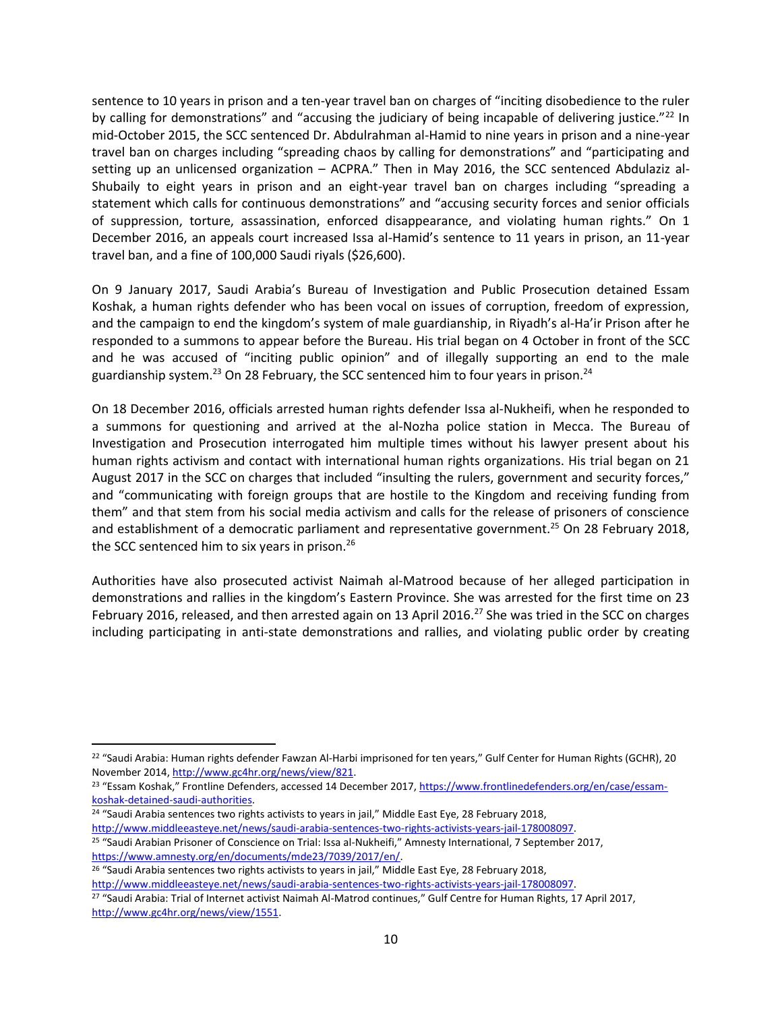sentence to 10 years in prison and a ten-year travel ban on charges of "inciting disobedience to the ruler by calling for demonstrations" and "accusing the judiciary of being incapable of delivering justice."<sup>22</sup> In mid-October 2015, the SCC sentenced Dr. Abdulrahman al-Hamid to nine years in prison and a nine-year travel ban on charges including "spreading chaos by calling for demonstrations" and "participating and setting up an unlicensed organization – ACPRA." Then in May 2016, the SCC sentenced Abdulaziz al-Shubaily to eight years in prison and an eight-year travel ban on charges including "spreading a statement which calls for continuous demonstrations" and "accusing security forces and senior officials of suppression, torture, assassination, enforced disappearance, and violating human rights." On 1 December 2016, an appeals court increased Issa al-Hamid's sentence to 11 years in prison, an 11-year travel ban, and a fine of 100,000 Saudi riyals (\$26,600).

On 9 January 2017, Saudi Arabia's Bureau of Investigation and Public Prosecution detained Essam Koshak, a human rights defender who has been vocal on issues of corruption, freedom of expression, and the campaign to end the kingdom's system of male guardianship, in Riyadh's al-Ha'ir Prison after he responded to a summons to appear before the Bureau. His trial began on 4 October in front of the SCC and he was accused of "inciting public opinion" and of illegally supporting an end to the male guardianship system.<sup>23</sup> On 28 February, the SCC sentenced him to four years in prison.<sup>24</sup>

On 18 December 2016, officials arrested human rights defender Issa al-Nukheifi, when he responded to a summons for questioning and arrived at the al-Nozha police station in Mecca. The Bureau of Investigation and Prosecution interrogated him multiple times without his lawyer present about his human rights activism and contact with international human rights organizations. His trial began on 21 August 2017 in the SCC on charges that included "insulting the rulers, government and security forces," and "communicating with foreign groups that are hostile to the Kingdom and receiving funding from them" and that stem from his social media activism and calls for the release of prisoners of conscience and establishment of a democratic parliament and representative government.<sup>25</sup> On 28 February 2018, the SCC sentenced him to six years in prison.<sup>26</sup>

Authorities have also prosecuted activist Naimah al-Matrood because of her alleged participation in demonstrations and rallies in the kingdom's Eastern Province. She was arrested for the first time on 23 February 2016, released, and then arrested again on 13 April 2016.<sup>27</sup> She was tried in the SCC on charges including participating in anti-state demonstrations and rallies, and violating public order by creating

<sup>23</sup> "Essam Koshak," Frontline Defenders, accessed 14 December 2017[, https://www.frontlinedefenders.org/en/case/essam](https://www.frontlinedefenders.org/en/case/essam-koshak-detained-saudi-authorities)[koshak-detained-saudi-authorities.](https://www.frontlinedefenders.org/en/case/essam-koshak-detained-saudi-authorities)

<sup>24</sup> "Saudi Arabia sentences two rights activists to years in jail," Middle East Eye, 28 February 2018, [http://www.middleeasteye.net/news/saudi-arabia-sentences-two-rights-activists-years-jail-178008097.](http://www.middleeasteye.net/news/saudi-arabia-sentences-two-rights-activists-years-jail-178008097)

 $\overline{\phantom{a}}$ 

<sup>26</sup> "Saudi Arabia sentences two rights activists to years in jail," Middle East Eye, 28 February 2018, [http://www.middleeasteye.net/news/saudi-arabia-sentences-two-rights-activists-years-jail-178008097.](http://www.middleeasteye.net/news/saudi-arabia-sentences-two-rights-activists-years-jail-178008097)

<sup>&</sup>lt;sup>22</sup> "Saudi Arabia: Human rights defender Fawzan Al-Harbi imprisoned for ten years," Gulf Center for Human Rights (GCHR), 20 November 2014[, http://www.gc4hr.org/news/view/821.](http://www.gc4hr.org/news/view/821)

<sup>25</sup> "Saudi Arabian Prisoner of Conscience on Trial: Issa al-Nukheifi," Amnesty International, 7 September 2017, [https://www.amnesty.org/en/documents/mde23/7039/2017/en/.](https://www.amnesty.org/en/documents/mde23/7039/2017/en/) 

<sup>&</sup>lt;sup>27</sup> "Saudi Arabia: Trial of Internet activist Naimah Al-Matrod continues," Gulf Centre for Human Rights, 17 April 2017, [http://www.gc4hr.org/news/view/1551.](http://www.gc4hr.org/news/view/1551)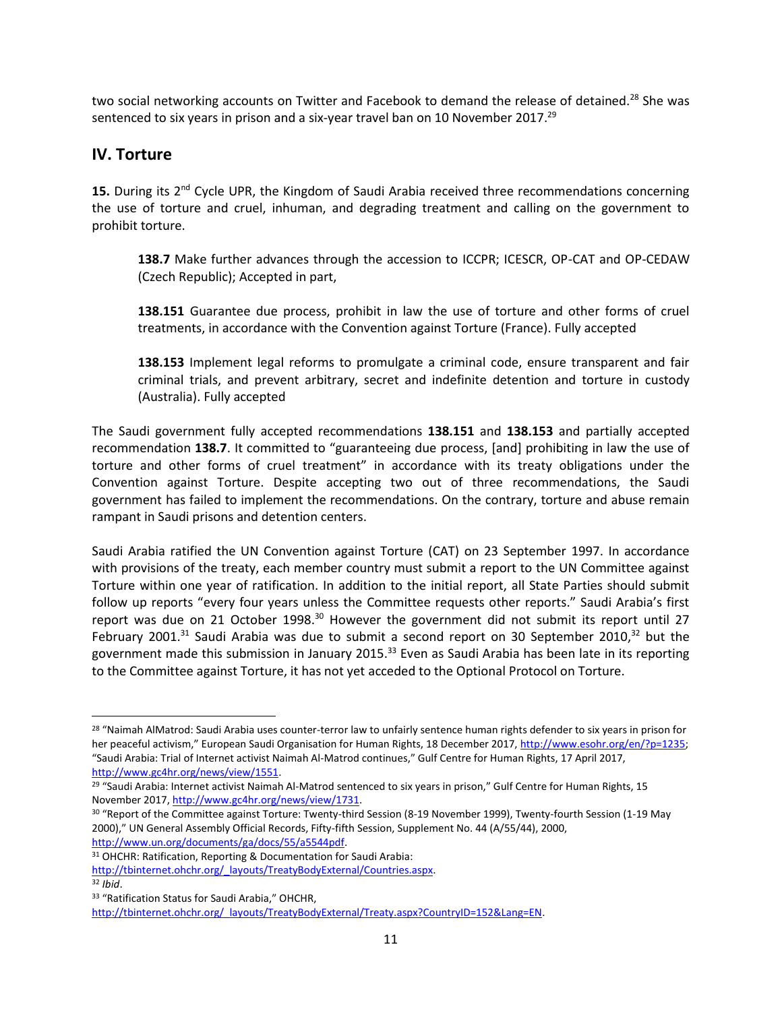two social networking accounts on Twitter and Facebook to demand the release of detained.<sup>28</sup> She was sentenced to six years in prison and a six-year travel ban on 10 November 2017.<sup>29</sup>

# **IV. Torture**

15. During its 2<sup>nd</sup> Cycle UPR, the Kingdom of Saudi Arabia received three recommendations concerning the use of torture and cruel, inhuman, and degrading treatment and calling on the government to prohibit torture.

**138.7** Make further advances through the accession to ICCPR; ICESCR, OP-CAT and OP-CEDAW (Czech Republic); Accepted in part,

**138.151** Guarantee due process, prohibit in law the use of torture and other forms of cruel treatments, in accordance with the Convention against Torture (France). Fully accepted

**138.153** Implement legal reforms to promulgate a criminal code, ensure transparent and fair criminal trials, and prevent arbitrary, secret and indefinite detention and torture in custody (Australia). Fully accepted

The Saudi government fully accepted recommendations **138.151** and **138.153** and partially accepted recommendation **138.7**. It committed to "guaranteeing due process, [and] prohibiting in law the use of torture and other forms of cruel treatment" in accordance with its treaty obligations under the Convention against Torture. Despite accepting two out of three recommendations, the Saudi government has failed to implement the recommendations. On the contrary, torture and abuse remain rampant in Saudi prisons and detention centers.

Saudi Arabia ratified the UN Convention against Torture (CAT) on 23 September 1997. In accordance with provisions of the treaty, each member country must submit a report to the UN Committee against Torture within one year of ratification. In addition to the initial report, all State Parties should submit follow up reports "every four years unless the Committee requests other reports." Saudi Arabia's first report was due on 21 October 1998. $30$  However the government did not submit its report until 27 February 2001.<sup>31</sup> Saudi Arabia was due to submit a second report on 30 September 2010,<sup>32</sup> but the government made this submission in January 2015.<sup>33</sup> Even as Saudi Arabia has been late in its reporting to the Committee against Torture, it has not yet acceded to the Optional Protocol on Torture.

[http://www.un.org/documents/ga/docs/55/a5544pdf.](http://www.un.org/documents/ga/docs/55/a5544pdf)

l

<sup>&</sup>lt;sup>28</sup> "Naimah AlMatrod: Saudi Arabia uses counter-terror law to unfairly sentence human rights defender to six years in prison for her peaceful activism," European Saudi Organisation for Human Rights, 18 December 2017[, http://www.esohr.org/en/?p=1235;](http://www.esohr.org/en/?p=1235) "Saudi Arabia: Trial of Internet activist Naimah Al-Matrod continues," Gulf Centre for Human Rights, 17 April 2017, [http://www.gc4hr.org/news/view/1551.](http://www.gc4hr.org/news/view/1551)

<sup>&</sup>lt;sup>29</sup> "Saudi Arabia: Internet activist Naimah Al-Matrod sentenced to six years in prison," Gulf Centre for Human Rights, 15 November 2017[, http://www.gc4hr.org/news/view/1731.](http://www.gc4hr.org/news/view/1731) 

<sup>30</sup> "Report of the Committee against Torture: Twenty-third Session (8-19 November 1999), Twenty-fourth Session (1-19 May 2000)," UN General Assembly Official Records, Fifty-fifth Session, Supplement No. 44 (A/55/44), 2000,

<sup>&</sup>lt;sup>31</sup> OHCHR: Ratification, Reporting & Documentation for Saudi Arabia:

[http://tbinternet.ohchr.org/\\_layouts/TreatyBodyExternal/Countries.aspx.](http://tbinternet.ohchr.org/_layouts/TreatyBodyExternal/Countries.aspx) <sup>32</sup> *Ibid*.

<sup>33</sup> "Ratification Status for Saudi Arabia," OHCHR,

http://tbinternet.ohchr.org/\_layouts/TreatyBodyExternal/Treaty.aspx?CountryID=152&Lang=EN.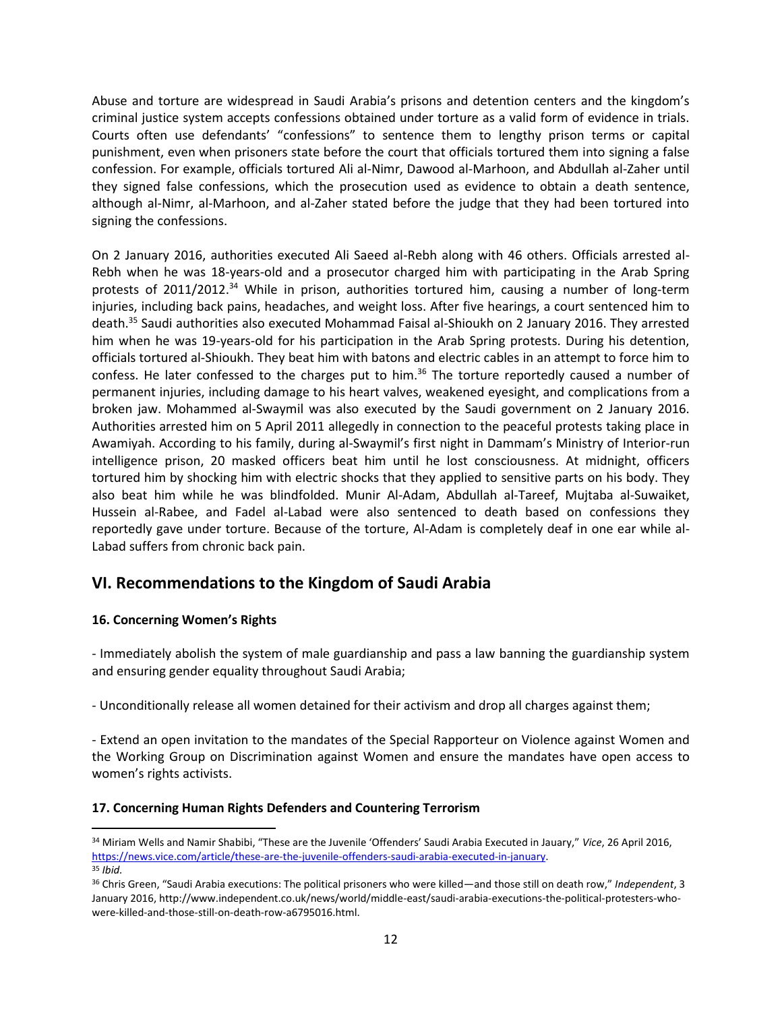Abuse and torture are widespread in Saudi Arabia's prisons and detention centers and the kingdom's criminal justice system accepts confessions obtained under torture as a valid form of evidence in trials. Courts often use defendants' "confessions" to sentence them to lengthy prison terms or capital punishment, even when prisoners state before the court that officials tortured them into signing a false confession. For example, officials tortured Ali al-Nimr, Dawood al-Marhoon, and Abdullah al-Zaher until they signed false confessions, which the prosecution used as evidence to obtain a death sentence, although al-Nimr, al-Marhoon, and al-Zaher stated before the judge that they had been tortured into signing the confessions.

On 2 January 2016, authorities executed Ali Saeed al-Rebh along with 46 others. Officials arrested al-Rebh when he was 18-years-old and a prosecutor charged him with participating in the Arab Spring protests of 2011/2012.<sup>34</sup> While in prison, authorities tortured him, causing a number of long-term injuries, including back pains, headaches, and weight loss. After five hearings, a court sentenced him to death.<sup>35</sup> Saudi authorities also executed Mohammad Faisal al-Shioukh on 2 January 2016. They arrested him when he was 19-years-old for his participation in the Arab Spring protests. During his detention, officials tortured al-Shioukh. They beat him with batons and electric cables in an attempt to force him to confess. He later confessed to the charges put to him.<sup>36</sup> The torture reportedly caused a number of permanent injuries, including damage to his heart valves, weakened eyesight, and complications from a broken jaw. Mohammed al-Swaymil was also executed by the Saudi government on 2 January 2016. Authorities arrested him on 5 April 2011 allegedly in connection to the peaceful protests taking place in Awamiyah. According to his family, during al-Swaymil's first night in Dammam's Ministry of Interior-run intelligence prison, 20 masked officers beat him until he lost consciousness. At midnight, officers tortured him by shocking him with electric shocks that they applied to sensitive parts on his body. They also beat him while he was blindfolded. Munir Al-Adam, Abdullah al-Tareef, Mujtaba al-Suwaiket, Hussein al-Rabee, and Fadel al-Labad were also sentenced to death based on confessions they reportedly gave under torture. Because of the torture, Al-Adam is completely deaf in one ear while al-Labad suffers from chronic back pain.

# **VI. Recommendations to the Kingdom of Saudi Arabia**

### **16. Concerning Women's Rights**

 $\overline{\phantom{a}}$ 

- Immediately abolish the system of male guardianship and pass a law banning the guardianship system and ensuring gender equality throughout Saudi Arabia;

- Unconditionally release all women detained for their activism and drop all charges against them;

- Extend an open invitation to the mandates of the Special Rapporteur on Violence against Women and the Working Group on Discrimination against Women and ensure the mandates have open access to women's rights activists.

### **17. Concerning Human Rights Defenders and Countering Terrorism**

<sup>34</sup> Miriam Wells and Namir Shabibi, "These are the Juvenile 'Offenders' Saudi Arabia Executed in Jauary," *Vice*, 26 April 2016, [https://news.vice.com/article/these-are-the-juvenile-offenders-saudi-arabia-executed-in-january.](https://news.vice.com/article/these-are-the-juvenile-offenders-saudi-arabia-executed-in-january)  <sup>35</sup> *Ibid.*

<sup>36</sup> Chris Green, "Saudi Arabia executions: The political prisoners who were killed—and those still on death row," *Independent*, 3 January 2016, http://www.independent.co.uk/news/world/middle-east/saudi-arabia-executions-the-political-protesters-whowere-killed-and-those-still-on-death-row-a6795016.html.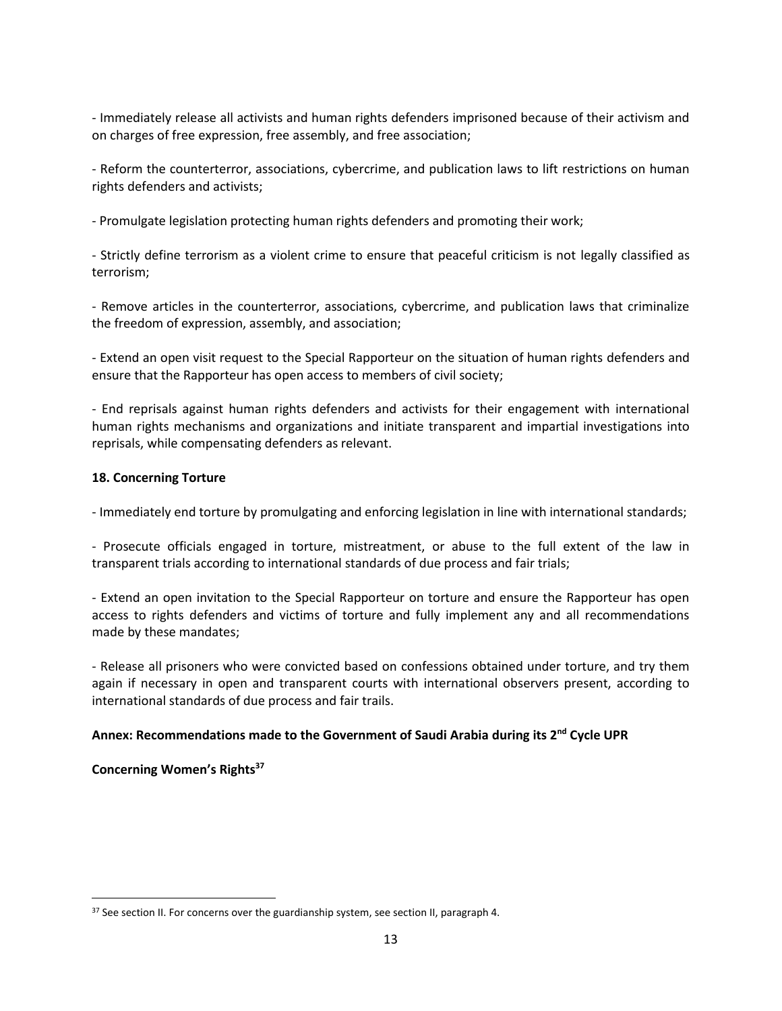- Immediately release all activists and human rights defenders imprisoned because of their activism and on charges of free expression, free assembly, and free association;

- Reform the counterterror, associations, cybercrime, and publication laws to lift restrictions on human rights defenders and activists;

- Promulgate legislation protecting human rights defenders and promoting their work;

- Strictly define terrorism as a violent crime to ensure that peaceful criticism is not legally classified as terrorism;

- Remove articles in the counterterror, associations, cybercrime, and publication laws that criminalize the freedom of expression, assembly, and association;

- Extend an open visit request to the Special Rapporteur on the situation of human rights defenders and ensure that the Rapporteur has open access to members of civil society;

- End reprisals against human rights defenders and activists for their engagement with international human rights mechanisms and organizations and initiate transparent and impartial investigations into reprisals, while compensating defenders as relevant.

## **18. Concerning Torture**

- Immediately end torture by promulgating and enforcing legislation in line with international standards;

- Prosecute officials engaged in torture, mistreatment, or abuse to the full extent of the law in transparent trials according to international standards of due process and fair trials;

- Extend an open invitation to the Special Rapporteur on torture and ensure the Rapporteur has open access to rights defenders and victims of torture and fully implement any and all recommendations made by these mandates;

- Release all prisoners who were convicted based on confessions obtained under torture, and try them again if necessary in open and transparent courts with international observers present, according to international standards of due process and fair trails.

### **Annex: Recommendations made to the Government of Saudi Arabia during its 2nd Cycle UPR**

# **Concerning Women's Rights<sup>37</sup>**

 $\overline{a}$ 

<sup>&</sup>lt;sup>37</sup> See section II. For concerns over the guardianship system, see section II, paragraph 4.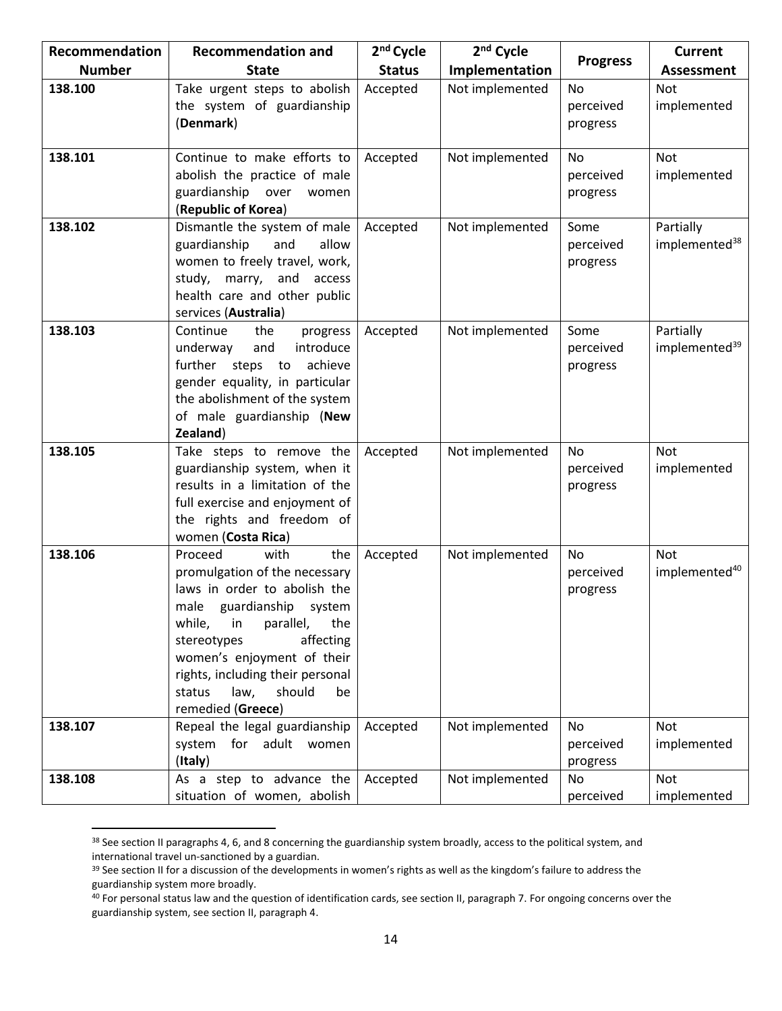| Recommendation | <b>Recommendation and</b>                                                                                                                                                                                                                                                                              | 2 <sup>nd</sup> Cycle | 2 <sup>nd</sup> Cycle | <b>Progress</b>                    | <b>Current</b>                         |
|----------------|--------------------------------------------------------------------------------------------------------------------------------------------------------------------------------------------------------------------------------------------------------------------------------------------------------|-----------------------|-----------------------|------------------------------------|----------------------------------------|
| <b>Number</b>  | <b>State</b>                                                                                                                                                                                                                                                                                           | <b>Status</b>         | Implementation        |                                    | <b>Assessment</b>                      |
| 138.100        | Take urgent steps to abolish<br>the system of guardianship<br>(Denmark)                                                                                                                                                                                                                                | Accepted              | Not implemented       | <b>No</b><br>perceived<br>progress | Not<br>implemented                     |
| 138.101        | Continue to make efforts to<br>abolish the practice of male<br>guardianship over<br>women<br>(Republic of Korea)                                                                                                                                                                                       | Accepted              | Not implemented       | No<br>perceived<br>progress        | Not<br>implemented                     |
| 138.102        | Dismantle the system of male<br>guardianship<br>and<br>allow<br>women to freely travel, work,<br>study, marry, and<br>access<br>health care and other public<br>services (Australia)                                                                                                                   | Accepted              | Not implemented       | Some<br>perceived<br>progress      | Partially<br>implemented <sup>38</sup> |
| 138.103        | Continue<br>the<br>progress<br>introduce<br>underway<br>and<br>further steps to achieve<br>gender equality, in particular<br>the abolishment of the system<br>of male guardianship (New<br>Zealand)                                                                                                    | Accepted              | Not implemented       | Some<br>perceived<br>progress      | Partially<br>implemented <sup>39</sup> |
| 138.105        | Take steps to remove the<br>guardianship system, when it<br>results in a limitation of the<br>full exercise and enjoyment of<br>the rights and freedom of<br>women (Costa Rica)                                                                                                                        | Accepted              | Not implemented       | No<br>perceived<br>progress        | Not<br>implemented                     |
| 138.106        | Proceed<br>with<br>the<br>promulgation of the necessary<br>laws in order to abolish the<br>male guardianship system<br>while, in parallel,<br>the<br>stereotypes<br>affecting<br>women's enjoyment of their<br>rights, including their personal<br>should<br>status<br>law,<br>be<br>remedied (Greece) | Accepted              | Not implemented       | No<br>perceived<br>progress        | Not<br>implemented <sup>40</sup>       |
| 138.107        | Repeal the legal guardianship<br>system for adult women<br>(Italy)                                                                                                                                                                                                                                     | Accepted              | Not implemented       | <b>No</b><br>perceived<br>progress | Not<br>implemented                     |
| 138.108        | As a step to advance the<br>situation of women, abolish                                                                                                                                                                                                                                                | Accepted              | Not implemented       | <b>No</b><br>perceived             | Not<br>implemented                     |

<sup>38</sup> See section II paragraphs 4, 6, and 8 concerning the guardianship system broadly, access to the political system, and international travel un-sanctioned by a guardian.

 $\overline{\phantom{a}}$ 

<sup>&</sup>lt;sup>39</sup> See section II for a discussion of the developments in women's rights as well as the kingdom's failure to address the guardianship system more broadly.

 $40$  For personal status law and the question of identification cards, see section II, paragraph 7. For ongoing concerns over the guardianship system, see section II, paragraph 4.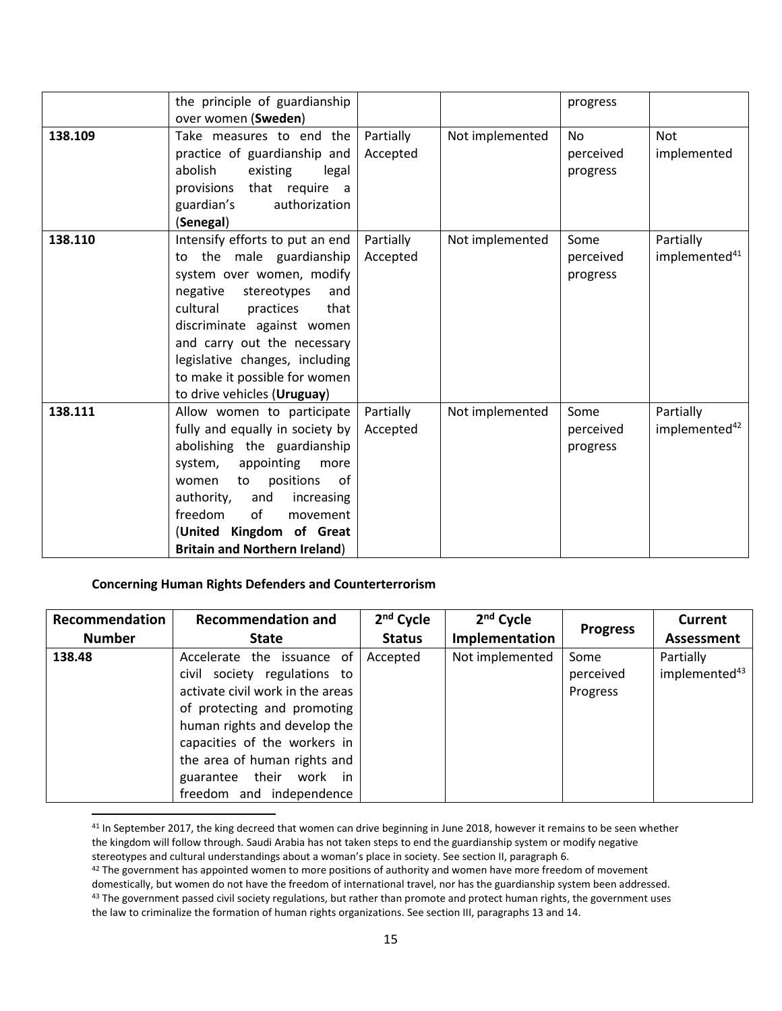|         | the principle of guardianship<br>over women (Sweden)                                                                                                                                                                                                                                                                       |                       |                 | progress                           |                                        |
|---------|----------------------------------------------------------------------------------------------------------------------------------------------------------------------------------------------------------------------------------------------------------------------------------------------------------------------------|-----------------------|-----------------|------------------------------------|----------------------------------------|
| 138.109 | Take measures to end the<br>practice of guardianship and<br>abolish<br>existing<br>legal<br>that require a<br>provisions<br>authorization<br>guardian's<br>(Senegal)                                                                                                                                                       | Partially<br>Accepted | Not implemented | <b>No</b><br>perceived<br>progress | <b>Not</b><br>implemented              |
| 138.110 | Intensify efforts to put an end<br>to the male guardianship<br>system over women, modify<br>negative<br>stereotypes<br>and<br>cultural<br>practices<br>that<br>discriminate against women<br>and carry out the necessary<br>legislative changes, including<br>to make it possible for women<br>to drive vehicles (Uruguay) | Partially<br>Accepted | Not implemented | Some<br>perceived<br>progress      | Partially<br>implemented <sup>41</sup> |
| 138.111 | Allow women to participate<br>fully and equally in society by<br>abolishing the guardianship<br>system,<br>appointing<br>more<br>positions<br>to<br>0f<br>women<br>authority,<br>and<br>increasing<br>freedom<br>of<br>movement<br>(United Kingdom of Great<br><b>Britain and Northern Ireland)</b>                        | Partially<br>Accepted | Not implemented | Some<br>perceived<br>progress      | Partially<br>implemented <sup>42</sup> |

### **Concerning Human Rights Defenders and Counterterrorism**

 $\overline{\phantom{a}}$ 

| Recommendation | <b>Recommendation and</b>                                                                                                                                                                                                                                                                    | 2 <sup>nd</sup> Cycle | $2nd$ Cycle     | <b>Progress</b>               | <b>Current</b>                         |
|----------------|----------------------------------------------------------------------------------------------------------------------------------------------------------------------------------------------------------------------------------------------------------------------------------------------|-----------------------|-----------------|-------------------------------|----------------------------------------|
| <b>Number</b>  | <b>State</b>                                                                                                                                                                                                                                                                                 | <b>Status</b>         | Implementation  |                               | <b>Assessment</b>                      |
| 138.48         | Accelerate the issuance of<br>civil society regulations to<br>activate civil work in the areas<br>of protecting and promoting<br>human rights and develop the<br>capacities of the workers in<br>the area of human rights and<br>guarantee their<br>work<br>in i<br>freedom and independence | Accepted              | Not implemented | Some<br>perceived<br>Progress | Partially<br>implemented <sup>43</sup> |

41 In September 2017, the king decreed that women can drive beginning in June 2018, however it remains to be seen whether the kingdom will follow through. Saudi Arabia has not taken steps to end the guardianship system or modify negative stereotypes and cultural understandings about a woman's place in society. See section II, paragraph 6.

<sup>42</sup> The government has appointed women to more positions of authority and women have more freedom of movement

domestically, but women do not have the freedom of international travel, nor has the guardianship system been addressed. 43 The government passed civil society regulations, but rather than promote and protect human rights, the government uses the law to criminalize the formation of human rights organizations. See section III, paragraphs 13 and 14.